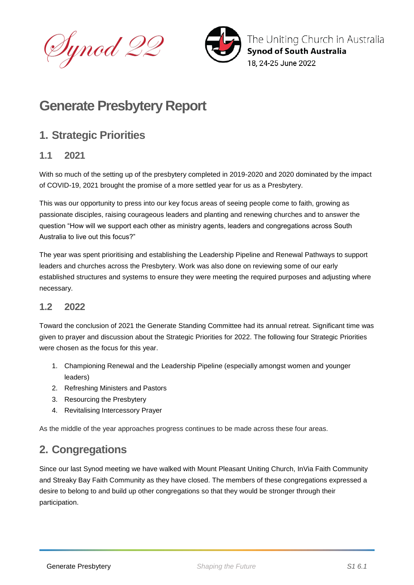Dynod 22



The Uniting Church in Australia **Synod of South Australia** 18. 24-25 June 2022

# **Generate Presbytery Report**

# **1. Strategic Priorities**

### **1.1 2021**

With so much of the setting up of the presbytery completed in 2019-2020 and 2020 dominated by the impact of COVID-19, 2021 brought the promise of a more settled year for us as a Presbytery.

This was our opportunity to press into our key focus areas of seeing people come to faith, growing as passionate disciples, raising courageous leaders and planting and renewing churches and to answer the question "How will we support each other as ministry agents, leaders and congregations across South Australia to live out this focus?"

The year was spent prioritising and establishing the Leadership Pipeline and Renewal Pathways to support leaders and churches across the Presbytery. Work was also done on reviewing some of our early established structures and systems to ensure they were meeting the required purposes and adjusting where necessary.

### **1.2 2022**

Toward the conclusion of 2021 the Generate Standing Committee had its annual retreat. Significant time was given to prayer and discussion about the Strategic Priorities for 2022. The following four Strategic Priorities were chosen as the focus for this year.

- 1. Championing Renewal and the Leadership Pipeline (especially amongst women and younger leaders)
- 2. Refreshing Ministers and Pastors
- 3. Resourcing the Presbytery
- 4. Revitalising Intercessory Prayer

As the middle of the year approaches progress continues to be made across these four areas.

# **2. Congregations**

Since our last Synod meeting we have walked with Mount Pleasant Uniting Church, InVia Faith Community and Streaky Bay Faith Community as they have closed. The members of these congregations expressed a desire to belong to and build up other congregations so that they would be stronger through their participation.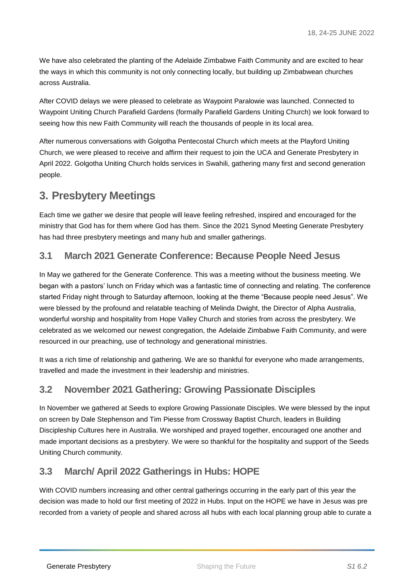We have also celebrated the planting of the Adelaide Zimbabwe Faith Community and are excited to hear the ways in which this community is not only connecting locally, but building up Zimbabwean churches across Australia.

After COVID delays we were pleased to celebrate as Waypoint Paralowie was launched. Connected to Waypoint Uniting Church Parafield Gardens (formally Parafield Gardens Uniting Church) we look forward to seeing how this new Faith Community will reach the thousands of people in its local area.

After numerous conversations with Golgotha Pentecostal Church which meets at the Playford Uniting Church, we were pleased to receive and affirm their request to join the UCA and Generate Presbytery in April 2022. Golgotha Uniting Church holds services in Swahili, gathering many first and second generation people.

# **3. Presbytery Meetings**

Each time we gather we desire that people will leave feeling refreshed, inspired and encouraged for the ministry that God has for them where God has them. Since the 2021 Synod Meeting Generate Presbytery has had three presbytery meetings and many hub and smaller gatherings.

### **3.1 March 2021 Generate Conference: Because People Need Jesus**

In May we gathered for the Generate Conference. This was a meeting without the business meeting. We began with a pastors' lunch on Friday which was a fantastic time of connecting and relating. The conference started Friday night through to Saturday afternoon, looking at the theme "Because people need Jesus". We were blessed by the profound and relatable teaching of Melinda Dwight, the Director of Alpha Australia, wonderful worship and hospitality from Hope Valley Church and stories from across the presbytery. We celebrated as we welcomed our newest congregation, the Adelaide Zimbabwe Faith Community, and were resourced in our preaching, use of technology and generational ministries.

It was a rich time of relationship and gathering. We are so thankful for everyone who made arrangements, travelled and made the investment in their leadership and ministries.

### **3.2 November 2021 Gathering: Growing Passionate Disciples**

In November we gathered at Seeds to explore Growing Passionate Disciples. We were blessed by the input on screen by Dale Stephenson and Tim Piesse from Crossway Baptist Church, leaders in Building Discipleship Cultures here in Australia. We worshiped and prayed together, encouraged one another and made important decisions as a presbytery. We were so thankful for the hospitality and support of the Seeds Uniting Church community.

## **3.3 March/ April 2022 Gatherings in Hubs: HOPE**

With COVID numbers increasing and other central gatherings occurring in the early part of this year the decision was made to hold our first meeting of 2022 in Hubs. Input on the HOPE we have in Jesus was pre recorded from a variety of people and shared across all hubs with each local planning group able to curate a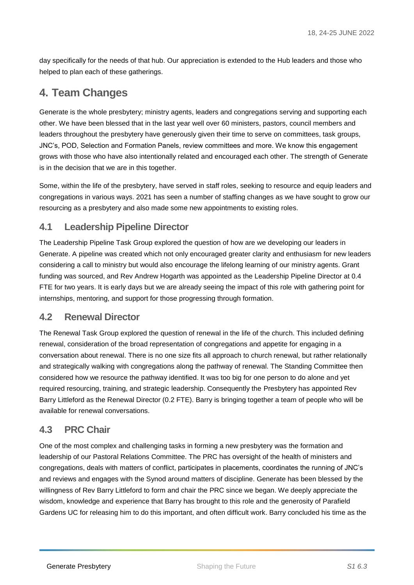day specifically for the needs of that hub. Our appreciation is extended to the Hub leaders and those who helped to plan each of these gatherings.

# **4. Team Changes**

Generate is the whole presbytery; ministry agents, leaders and congregations serving and supporting each other. We have been blessed that in the last year well over 60 ministers, pastors, council members and leaders throughout the presbytery have generously given their time to serve on committees, task groups, JNC's, POD, Selection and Formation Panels, review committees and more. We know this engagement grows with those who have also intentionally related and encouraged each other. The strength of Generate is in the decision that we are in this together.

Some, within the life of the presbytery, have served in staff roles, seeking to resource and equip leaders and congregations in various ways. 2021 has seen a number of staffing changes as we have sought to grow our resourcing as a presbytery and also made some new appointments to existing roles.

### **4.1 Leadership Pipeline Director**

The Leadership Pipeline Task Group explored the question of how are we developing our leaders in Generate. A pipeline was created which not only encouraged greater clarity and enthusiasm for new leaders considering a call to ministry but would also encourage the lifelong learning of our ministry agents. Grant funding was sourced, and Rev Andrew Hogarth was appointed as the Leadership Pipeline Director at 0.4 FTE for two years. It is early days but we are already seeing the impact of this role with gathering point for internships, mentoring, and support for those progressing through formation.

#### **4.2 Renewal Director**

The Renewal Task Group explored the question of renewal in the life of the church. This included defining renewal, consideration of the broad representation of congregations and appetite for engaging in a conversation about renewal. There is no one size fits all approach to church renewal, but rather relationally and strategically walking with congregations along the pathway of renewal. The Standing Committee then considered how we resource the pathway identified. It was too big for one person to do alone and yet required resourcing, training, and strategic leadership. Consequently the Presbytery has appointed Rev Barry Littleford as the Renewal Director (0.2 FTE). Barry is bringing together a team of people who will be available for renewal conversations.

### **4.3 PRC Chair**

One of the most complex and challenging tasks in forming a new presbytery was the formation and leadership of our Pastoral Relations Committee. The PRC has oversight of the health of ministers and congregations, deals with matters of conflict, participates in placements, coordinates the running of JNC's and reviews and engages with the Synod around matters of discipline. Generate has been blessed by the willingness of Rev Barry Littleford to form and chair the PRC since we began. We deeply appreciate the wisdom, knowledge and experience that Barry has brought to this role and the generosity of Parafield Gardens UC for releasing him to do this important, and often difficult work. Barry concluded his time as the